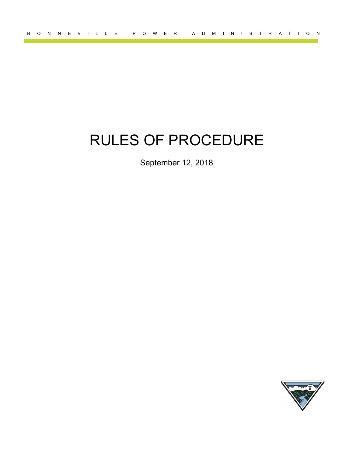# RULES OF PROCEDURE

September 12, 2018

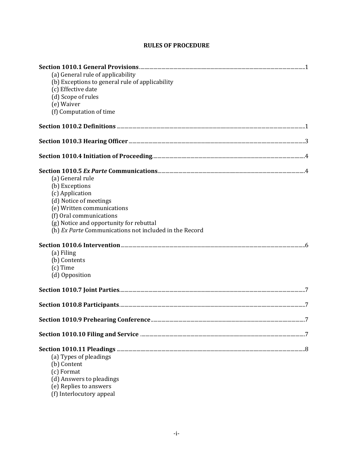# **RULES OF PROCEDURE**

| (a) General rule of applicability                      |   |
|--------------------------------------------------------|---|
| (b) Exceptions to general rule of applicability        |   |
| (c) Effective date                                     |   |
| (d) Scope of rules                                     |   |
| (e) Waiver                                             |   |
| (f) Computation of time                                |   |
|                                                        |   |
|                                                        |   |
|                                                        |   |
|                                                        |   |
| (a) General rule                                       |   |
| (b) Exceptions                                         |   |
| (c) Application                                        |   |
| (d) Notice of meetings                                 |   |
| (e) Written communications                             |   |
| (f) Oral communications                                |   |
| (g) Notice and opportunity for rebuttal                |   |
| (h) Ex Parte Communications not included in the Record |   |
|                                                        |   |
| (a) Filing                                             |   |
| (b) Contents                                           |   |
| (c) Time                                               |   |
| (d) Opposition                                         |   |
|                                                        |   |
|                                                        |   |
|                                                        |   |
| <b>Section 1010.9 Prehearing Conference.</b>           | 7 |
|                                                        |   |
|                                                        |   |
| (a) Types of pleadings                                 |   |
| (b) Content                                            |   |
| (c) Format                                             |   |
| (d) Answers to pleadings                               |   |
| (e) Replies to answers                                 |   |
| (f) Interlocutory appeal                               |   |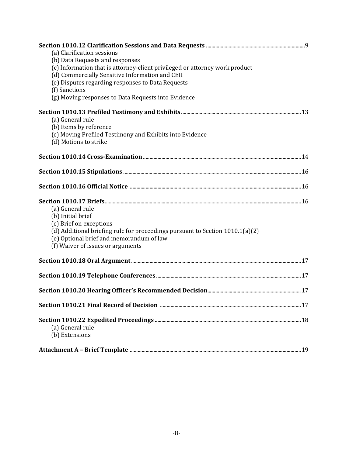| (a) Clarification sessions<br>(b) Data Requests and responses<br>(c) Information that is attorney-client privileged or attorney work product<br>(d) Commercially Sensitive Information and CEII<br>(e) Disputes regarding responses to Data Requests<br>(f) Sanctions<br>(g) Moving responses to Data Requests into Evidence |  |
|------------------------------------------------------------------------------------------------------------------------------------------------------------------------------------------------------------------------------------------------------------------------------------------------------------------------------|--|
| (a) General rule<br>(b) Items by reference<br>(c) Moving Prefiled Testimony and Exhibits into Evidence<br>(d) Motions to strike                                                                                                                                                                                              |  |
|                                                                                                                                                                                                                                                                                                                              |  |
|                                                                                                                                                                                                                                                                                                                              |  |
|                                                                                                                                                                                                                                                                                                                              |  |
| (a) General rule<br>(b) Initial brief<br>(c) Brief on exceptions<br>(d) Additional briefing rule for proceedings pursuant to Section 1010.1(a)(2)<br>(e) Optional brief and memorandum of law<br>(f) Waiver of issues or arguments                                                                                           |  |
|                                                                                                                                                                                                                                                                                                                              |  |
|                                                                                                                                                                                                                                                                                                                              |  |
|                                                                                                                                                                                                                                                                                                                              |  |
|                                                                                                                                                                                                                                                                                                                              |  |
| (a) General rule<br>(b) Extensions                                                                                                                                                                                                                                                                                           |  |
|                                                                                                                                                                                                                                                                                                                              |  |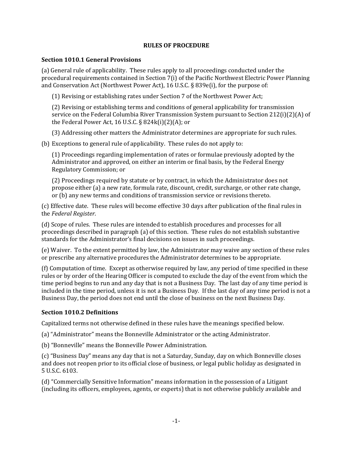#### **RULES OF PROCEDURE**

#### **Section 1010.1 General Provisions**

(a) General rule of applicability. These rules apply to all proceedings conducted under the procedural requirements contained in Section 7(i) of the Pacific Northwest Electric Power Planning and Conservation Act (Northwest Power Act), 16 U.S.C. § 839e(i), for the purpose of:

(1) Revising or establishing rates under Section 7 of the Northwest Power Act;

(2) Revising or establishing terms and conditions of general applicability for transmission service on the Federal Columbia River Transmission System pursuant to Section 212(i)(2)(A) of the Federal Power Act, 16 U.S.C. § 824k(i)(2)(A); or

(3) Addressing other matters the Administrator determines are appropriate for such rules.

(b) Exceptions to general rule of applicability. These rules do not apply to:

(1) Proceedings regarding implementation of rates or formulae previously adopted by the Administrator and approved, on either an interim or final basis, by the Federal Energy Regulatory Commission; or

(2) Proceedings required by statute or by contract, in which the Administrator does not propose either (a) a new rate, formula rate, discount, credit, surcharge, or other rate change, or (b) any new terms and conditions of transmission service or revisions thereto.

(c) Effective date. These rules will become effective 30 days after publication of the final rules in the *Federal Register*.

(d) Scope of rules. These rules are intended to establish procedures and processes for all proceedings described in paragraph (a) of this section. These rules do not establish substantive standards for the Administrator's final decisions on issues in such proceedings.

(e) Waiver. To the extent permitted by law, the Administrator may waive any section of these rules or prescribe any alternative procedures the Administrator determines to be appropriate.

(f) Computation of time. Except as otherwise required by law, any period of time specified in these rules or by order of the Hearing Officer is computed to exclude the day of the event from which the time period begins to run and any day that is not a Business Day. The last day of any time period is included in the time period, unless it is not a Business Day. If the last day of any time period is not a Business Day, the period does not end until the close of business on the next Business Day.

## **Section 1010.2 Definitions**

Capitalized terms not otherwise defined in these rules have the meanings specified below.

(a) "Administrator" means the Bonneville Administrator or the acting Administrator.

(b) "Bonneville" means the Bonneville Power Administration.

(c) "Business Day" means any day that is not a Saturday, Sunday, day on which Bonneville closes and does not reopen prior to its official close of business, or legal public holiday as designated in 5 U.S.C. 6103.

(d) "Commercially Sensitive Information" means information in the possession of a Litigant (including its officers, employees, agents, or experts) that is not otherwise publicly available and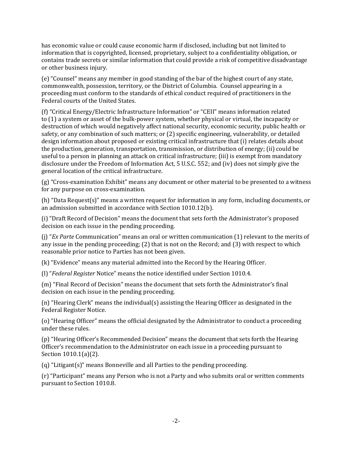has economic value or could cause economic harm if disclosed, including but not limited to information that is copyrighted, licensed, proprietary, subject to a confidentiality obligation, or contains trade secrets or similar information that could provide a risk of competitive disadvantage or other business injury.

(e) "Counsel" means any member in good standing of the bar of the highest court of any state, commonwealth, possession, territory, or the District of Columbia. Counsel appearing in a proceeding must conform to the standards of ethical conduct required of practitioners in the Federal courts of the United States.

(f) "Critical Energy/Electric Infrastructure Information" or "CEII" means information related to (1) a system or asset of the bulk-power system, whether physical or virtual, the incapacity or destruction of which would negatively affect national security, economic security, public health or safety, or any combination of such matters; or (2) specific engineering, vulnerability, or detailed design information about proposed or existing critical infrastructure that (i) relates details about the production, generation, transportation[, transmission,](https://www.law.cornell.edu/definitions/index.php?width=840&height=800&iframe=true&def_id=8a058478b70cf1345b409a5932e31ffc&term_occur=1&term_src=Title:18:Chapter:I:Subchapter:X:Part:388:388.113) or distribution of energy; (ii) could be useful to a person in planning an attack on critical infrastructure; (iii) is exempt from mandatory disclosure under the Freedom of Information Act, 5 [U.S.C.](https://www.law.cornell.edu/uscode/text/5/552) 552; and (iv) does not simply give the general location of the critical infrastructure.

(g) "Cross-examination Exhibit" means any document or other material to be presented to a witness for any purpose on cross-examination.

(h) "Data Request(s)" means a written request for information in any form, including documents, or an admission submitted in accordance with Section 1010.12(b).

(i) "Draft Record of Decision" means the document that sets forth the Administrator's proposed decision on each issue in the pending proceeding.

(j) "*Ex Parte* Communication" means an oral or written communication (1) relevant to the merits of any issue in the pending proceeding; (2) that is not on the Record; and (3) with respect to which reasonable prior notice to Parties has not been given.

(k) "Evidence" means any material admitted into the Record by the Hearing Officer.

(l) "*Federal Register* Notice" means the notice identified under Section 1010.4.

(m) "Final Record of Decision" means the document that sets forth the Administrator's final decision on each issue in the pending proceeding.

(n) "Hearing Clerk" means the individual(s) assisting the Hearing Officer as designated in the Federal Register Notice.

(o) "Hearing Officer" means the official designated by the Administrator to conduct a proceeding under these rules.

(p) "Hearing Officer's Recommended Decision" means the document that sets forth the Hearing Officer's recommendation to the Administrator on each issue in a proceeding pursuant to Section 1010.1(a)(2).

(q) "Litigant(s)" means Bonneville and all Parties to the pending proceeding.

(r) "Participant" means any Person who is not a Party and who submits oral or written comments pursuant to Section 1010.8.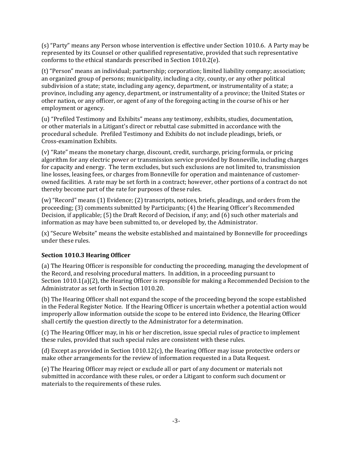(s) "Party" means any Person whose intervention is effective under Section 1010.6. A Party may be represented by its Counsel or other qualified representative, provided that such representative conforms to the ethical standards prescribed in Section 1010.2(e).

(t) "Person" means an individual; partnership; corporation; limited liability company; association; an organized group of persons; municipality, including a city, county, or any other political subdivision of a state; state, including any agency, department, or instrumentality of a state; a province, including any agency, department, or instrumentality of a province; the United States or other nation, or any officer, or agent of any of the foregoing acting in the course of his or her employment or agency.

(u) "Prefiled Testimony and Exhibits" means any testimony, exhibits, studies, documentation, or other materials in a Litigant's direct or rebuttal case submitted in accordance with the procedural schedule. Prefiled Testimony and Exhibits do not include pleadings, briefs, or Cross-examination Exhibits.

(v) "Rate" means the monetary charge, discount, credit, surcharge, pricing formula, or pricing algorithm for any electric power or transmission service provided by Bonneville, including charges for capacity and energy. The term excludes, but such exclusions are not limited to, transmission line losses, leasing fees, or charges from Bonneville for operation and maintenance of customerowned facilities. A rate may be set forth in a contract; however, other portions of a contract do not thereby become part of the rate for purposes of these rules.

(w) "Record" means (1) Evidence; (2) transcripts, notices, briefs, pleadings, and orders from the proceeding; (3) comments submitted by Participants; (4) the Hearing Officer's Recommended Decision, if applicable; (5) the Draft Record of Decision, if any; and (6) such other materials and information as may have been submitted to, or developed by, the Administrator.

(x) "Secure Website" means the website established and maintained by Bonneville for proceedings under these rules.

# **Section 1010.3 Hearing Officer**

(a) The Hearing Officer is responsible for conducting the proceeding, managing the development of the Record, and resolving procedural matters. In addition, in a proceeding pursuant to Section 1010.1(a)(2), the Hearing Officer is responsible for making a Recommended Decision to the Administrator as set forth in Section 1010.20.

(b) The Hearing Officer shall not expand the scope of the proceeding beyond the scope established in the Federal Register Notice. If the Hearing Officer is uncertain whether a potential action would improperly allow information outside the scope to be entered into Evidence, the Hearing Officer shall certify the question directly to the Administrator for a determination.

(c) The Hearing Officer may, in his or her discretion, issue special rules of practice to implement these rules, provided that such special rules are consistent with these rules.

(d) Except as provided in Section 1010.12(c), the Hearing Officer may issue protective orders or make other arrangements for the review of information requested in a Data Request.

(e) The Hearing Officer may reject or exclude all or part of any document or materials not submitted in accordance with these rules, or order a Litigant to conform such document or materials to the requirements of these rules.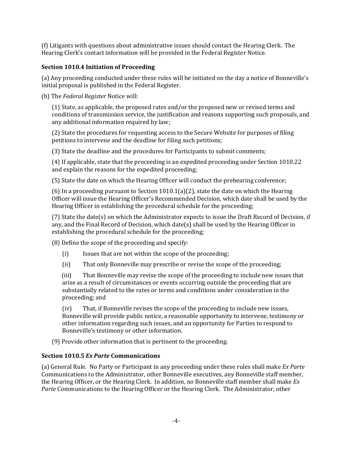(f) Litigants with questions about administrative issues should contact the Hearing Clerk. The Hearing Clerk's contact information will be provided in the Federal Register Notice.

## **Section 1010.4 Initiation of Proceeding**

(a) Any proceeding conducted under these rules will be initiated on the day a notice of Bonneville's initial proposal is published in the Federal Register.

(b) The *Federal Register* Notice will:

(1) State, as applicable, the proposed rates and/or the proposed new or revised terms and conditions of transmission service, the justification and reasons supporting such proposals, and any additional information required by law;

(2) State the procedures for requesting access to the Secure Website for purposes of filing petitions to intervene and the deadline for filing such petitions;

(3) State the deadline and the procedures for Participants to submit comments;

(4) If applicable, state that the proceeding is an expedited proceeding under Section 1010.22 and explain the reasons for the expedited proceeding;

(5) State the date on which the Hearing Officer will conduct the prehearing conference;

(6) In a proceeding pursuant to Section  $1010.1(a)(2)$ , state the date on which the Hearing Officer will issue the Hearing Officer's Recommended Decision, which date shall be used by the Hearing Officer in establishing the procedural schedule for the proceeding;

(7) State the date(s) on which the Administrator expects to issue the Draft Record of Decision, if any, and the Final Record of Decision, which date(s) shall be used by the Hearing Officer in establishing the procedural schedule for the proceeding;

(8) Define the scope of the proceeding and specify:

- (i) Issues that are not within the scope of the proceeding;
- (ii) That only Bonneville may prescribe or revise the scope of the proceeding;

 (iii) That Bonneville may revise the scope of the proceeding to include new issues that arise as a result of circumstances or events occurring outside the proceeding that are substantially related to the rates or terms and conditions under consideration in the proceeding; and

(iv) That, if Bonneville revises the scope of the proceeding to include new issues, Bonneville will provide public notice, a reasonable opportunity to intervene, testimony or other information regarding such issues, and an opportunity for Parties to respond to Bonneville's testimony or other information.

(9) Provide other information that is pertinent to the proceeding.

# **Section 1010.5** *Ex Parte* **Communications**

(a) General Rule. No Party or Participant in any proceeding under these rules shall make *Ex Parte* Communications to the Administrator, other Bonneville executives, any Bonneville staff member, the Hearing Officer, or the Hearing Clerk. In addition, no Bonneville staff member shall make *Ex Parte* Communications to the Hearing Officer or the Hearing Clerk. The Administrator, other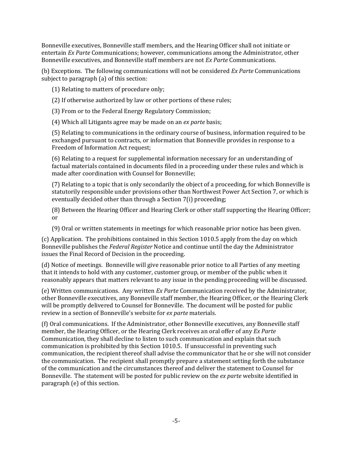Bonneville executives, Bonneville staff members, and the Hearing Officer shall not initiate or entertain *Ex Parte* Communications; however, communications among the Administrator, other Bonneville executives, and Bonneville staff members are not *Ex Parte* Communications.

(b) Exceptions. The following communications will not be considered *Ex Parte* Communications subject to paragraph (a) of this section:

(1) Relating to matters of procedure only;

(2) If otherwise authorized by law or other portions of these rules;

(3) From or to the Federal Energy Regulatory Commission;

(4) Which all Litigants agree may be made on an *ex parte* basis;

(5) Relating to communications in the ordinary course of business, information required to be exchanged pursuant to contracts, or information that Bonneville provides in response to a Freedom of Information Act request;

(6) Relating to a request for supplemental information necessary for an understanding of factual materials contained in documents filed in a proceeding under these rules and which is made after coordination with Counsel for Bonneville;

(7) Relating to a topic that is only secondarily the object of a proceeding, for which Bonneville is statutorily responsible under provisions other than Northwest Power Act Section 7, or which is eventually decided other than through a Section 7(i) proceeding;

(8) Between the Hearing Officer and Hearing Clerk or other staff supporting the Hearing Officer; or

(9) Oral or written statements in meetings for which reasonable prior notice has been given.

(c) Application. The prohibitions contained in this Section 1010.5 apply from the day on which Bonneville publishes the *Federal Register* Notice and continue until the day the Administrator issues the Final Record of Decision in the proceeding.

(d) Notice of meetings. Bonneville will give reasonable prior notice to all Parties of any meeting that it intends to hold with any customer, customer group, or member of the public when it reasonably appears that matters relevant to any issue in the pending proceeding will be discussed.

(e) Written communications. Any written *Ex Parte* Communication received by the Administrator, other Bonneville executives, any Bonneville staff member, the Hearing Officer, or the Hearing Clerk will be promptly delivered to Counsel for Bonneville. The document will be posted for public review in a section of Bonneville's website for *ex parte* materials.

(f) Oral communications. If the Administrator, other Bonneville executives, any Bonneville staff member, the Hearing Officer, or the Hearing Clerk receives an oral offer of any *Ex Parte*  Communication, they shall decline to listen to such communication and explain that such communication is prohibited by this Section 1010.5. If unsuccessful in preventing such communication, the recipient thereof shall advise the communicator that he or she will not consider the communication. The recipient shall promptly prepare a statement setting forth the substance of the communication and the circumstances thereof and deliver the statement to Counsel for Bonneville. The statement will be posted for public review on the *ex parte* website identified in paragraph (e) of this section.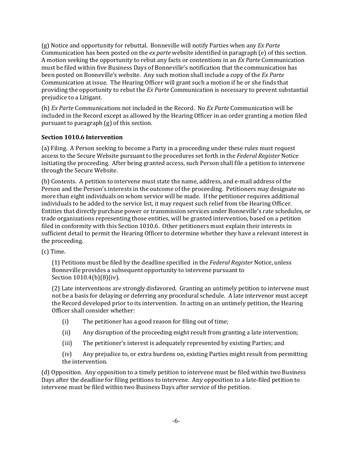(g) Notice and opportunity for rebuttal. Bonneville will notify Parties when any *Ex Parte* Communication has been posted on the *ex parte* website identified in paragraph (e) of this section. A motion seeking the opportunity to rebut any facts or contentions in an *Ex Parte* Communication must be filed within five Business Days of Bonneville's notification that the communication has been posted on Bonneville's website. Any such motion shall include a copy of the *Ex Parte* Communication at issue. The Hearing Officer will grant such a motion if he or she finds that providing the opportunity to rebut the *Ex Parte* Communication is necessary to prevent substantial prejudice to a Litigant.

(h) *Ex Parte* Communications not included in the Record. No *Ex Parte* Communication will be included in the Record except as allowed by the Hearing Officer in an order granting a motion filed pursuant to paragraph (g) of this section.

## **Section 1010.6 Intervention**

(a) Filing. A Person seeking to become a Party in a proceeding under these rules must request access to the Secure Website pursuant to the procedures set forth in the *Federal Register* Notice initiating the proceeding. After being granted access, such Person shall file a petition to intervene through the Secure Website.

(b) Contents. A petition to intervene must state the name, address, and e-mail address of the Person and the Person's interests in the outcome of the proceeding. Petitioners may designate no more than eight individuals on whom service will be made. If the petitioner requires additional individuals to be added to the service list, it may request such relief from the Hearing Officer. Entities that directly purchase power or transmission services under Bonneville's rate schedules, or trade organizations representing those entities, will be granted intervention, based on a petition filed in conformity with this Section 1010.6. Other petitioners must explain their interests in sufficient detail to permit the Hearing Officer to determine whether they have a relevant interest in the proceeding.

(c) Time.

(1) Petitions must be filed by the deadline specified in the *Federal Register* Notice, unless Bonneville provides a subsequent opportunity to intervene pursuant to Section 1010.4(b)(8)(iv).

(2) Late interventions are strongly disfavored. Granting an untimely petition to intervene must not be a basis for delaying or deferring any procedural schedule. A late intervenor must accept the Record developed prior to its intervention. In acting on an untimely petition, the Hearing Officer shall consider whether:

- (i) The petitioner has a good reason for filing out of time;
- (ii) Any disruption of the proceeding might result from granting a late intervention;
- (iii) The petitioner's interest is adequately represented by existing Parties; and

(iv) Any prejudice to, or extra burdens on, existing Parties might result from permitting the intervention.

(d) Opposition. Any opposition to a timely petition to intervene must be filed within two Business Days after the deadline for filing petitions to intervene. Any opposition to a late-filed petition to intervene must be filed within two Business Days after service of the petition.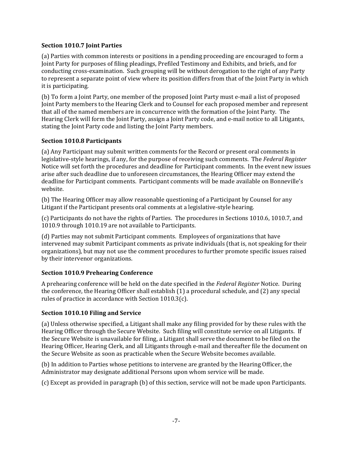#### **Section 1010.7 Joint Parties**

(a) Parties with common interests or positions in a pending proceeding are encouraged to form a Joint Party for purposes of filing pleadings, Prefiled Testimony and Exhibits, and briefs, and for conducting cross-examination. Such grouping will be without derogation to the right of any Party to represent a separate point of view where its position differs from that of the Joint Party in which it is participating.

(b) To form a Joint Party, one member of the proposed Joint Party must e-mail a list of proposed Joint Party members to the Hearing Clerk and to Counsel for each proposed member and represent that all of the named members are in concurrence with the formation of the Joint Party. The Hearing Clerk will form the Joint Party, assign a Joint Party code, and e-mail notice to all Litigants, stating the Joint Party code and listing the Joint Party members.

## **Section 1010.8 Participants**

(a) Any Participant may submit written comments for the Record or present oral comments in legislative-style hearings, if any, for the purpose of receiving such comments. The *Federal Register* Notice will set forth the procedures and deadline for Participant comments. In the event new issues arise after such deadline due to unforeseen circumstances, the Hearing Officer may extend the deadline for Participant comments. Participant comments will be made available on Bonneville's website.

(b) The Hearing Officer may allow reasonable questioning of a Participant by Counsel for any Litigant if the Participant presents oral comments at a legislative-style hearing.

(c) Participants do not have the rights of Parties. The procedures in Sections 1010.6, 1010.7, and 1010.9 through 1010.19 are not available to Participants.

(d) Parties may not submit Participant comments. Employees of organizations that have intervened may submit Participant comments as private individuals (that is, not speaking for their organizations), but may not use the comment procedures to further promote specific issues raised by their intervenor organizations.

## **Section 1010.9 Prehearing Conference**

A prehearing conference will be held on the date specified in the *Federal Register* Notice. During the conference, the Hearing Officer shall establish (1) a procedural schedule, and (2) any special rules of practice in accordance with Section 1010.3(c).

## **Section 1010.10 Filing and Service**

(a) Unless otherwise specified, a Litigant shall make any filing provided for by these rules with the Hearing Officer through the Secure Website. Such filing will constitute service on all Litigants. If the Secure Website is unavailable for filing, a Litigant shall serve the document to be filed on the Hearing Officer, Hearing Clerk, and all Litigants through e-mail and thereafter file the document on the Secure Website as soon as practicable when the Secure Website becomes available.

(b) In addition to Parties whose petitions to intervene are granted by the Hearing Officer, the Administrator may designate additional Persons upon whom service will be made.

(c) Except as provided in paragraph (b) of this section, service will not be made upon Participants.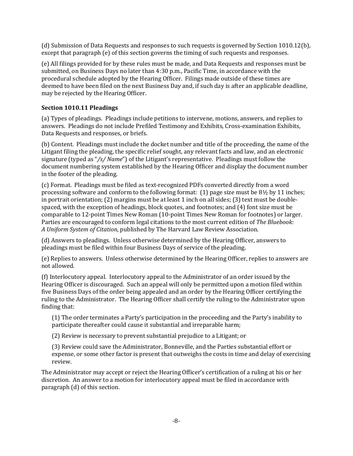(d) Submission of Data Requests and responses to such requests is governed by Section 1010.12(b), except that paragraph (e) of this section governs the timing of such requests and responses.

(e) All filings provided for by these rules must be made, and Data Requests and responses must be submitted, on Business Days no later than 4:30 p.m., Pacific Time, in accordance with the procedural schedule adopted by the Hearing Officer. Filings made outside of these times are deemed to have been filed on the next Business Day and, if such day is after an applicable deadline, may be rejected by the Hearing Officer.

# **Section 1010.11 Pleadings**

(a) Types of pleadings. Pleadings include petitions to intervene, motions, answers, and replies to answers. Pleadings do not include Prefiled Testimony and Exhibits, Cross-examination Exhibits, Data Requests and responses, or briefs.

(b) Content. Pleadings must include the docket number and title of the proceeding, the name of the Litigant filing the pleading, the specific relief sought, any relevant facts and law, and an electronic signature (typed as "*/s/ Name*") of the Litigant's representative. Pleadings must follow the document numbering system established by the Hearing Officer and display the document number in the footer of the pleading.

(c) Format. Pleadings must be filed as text-recognized PDFs converted directly from a word processing software and conform to the following format: (1) page size must be 8½ by 11 inches; in portrait orientation; (2) margins must be at least 1 inch on all sides; (3) text must be doublespaced, with the exception of headings, block quotes, and footnotes; and (4) font size must be comparable to 12-point Times New Roman (10-point Times New Roman for footnotes) or larger. Parties are encouraged to conform legal citations to the most current edition of *The Bluebook: A Uniform System of Citation*, published by The Harvard Law Review Association.

(d) Answers to pleadings. Unless otherwise determined by the Hearing Officer, answers to pleadings must be filed within four Business Days of service of the pleading.

(e) Replies to answers. Unless otherwise determined by the Hearing Officer, replies to answers are not allowed.

(f) Interlocutory appeal. Interlocutory appeal to the Administrator of an order issued by the Hearing Officer is discouraged. Such an appeal will only be permitted upon a motion filed within five Business Days of the order being appealed and an order by the Hearing Officer certifying the ruling to the Administrator. The Hearing Officer shall certify the ruling to the Administrator upon finding that:

(1) The order terminates a Party's participation in the proceeding and the Party's inability to participate thereafter could cause it substantial and irreparable harm;

(2) Review is necessary to prevent substantial prejudice to a Litigant; or

(3) Review could save the Administrator, Bonneville, and the Parties substantial effort or expense, or some other factor is present that outweighs the costs in time and delay of exercising review.

The Administrator may accept or reject the Hearing Officer's certification of a ruling at his or her discretion. An answer to a motion for interlocutory appeal must be filed in accordance with paragraph (d) of this section.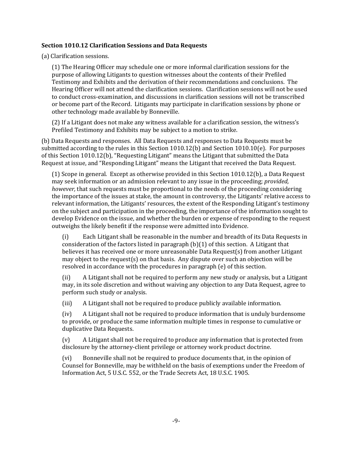#### **Section 1010.12 Clarification Sessions and Data Requests**

(a) Clarification sessions.

(1) The Hearing Officer may schedule one or more informal clarification sessions for the purpose of allowing Litigants to question witnesses about the contents of their Prefiled Testimony and Exhibits and the derivation of their recommendations and conclusions. The Hearing Officer will not attend the clarification sessions. Clarification sessions will not be used to conduct cross-examination, and discussions in clarification sessions will not be transcribed or become part of the Record. Litigants may participate in clarification sessions by phone or other technology made available by Bonneville.

(2) If a Litigant does not make any witness available for a clarification session, the witness's Prefiled Testimony and Exhibits may be subject to a motion to strike.

(b) Data Requests and responses. All Data Requests and responses to Data Requests must be submitted according to the rules in this Section 1010.12(b) and Section 1010.10(e). For purposes of this Section 1010.12(b), "Requesting Litigant" means the Litigant that submitted the Data Request at issue, and "Responding Litigant" means the Litigant that received the Data Request.

(1) Scope in general. Except as otherwise provided in this Section 1010.12(b), a Data Request may seek information or an admission relevant to any issue in the proceeding; *provided, however,* that such requests must be proportional to the needs of the proceeding considering the importance of the issues at stake, the amount in controversy, the Litigants' relative access to relevant information, the Litigants' resources, the extent of the Responding Litigant's testimony on the subject and participation in the proceeding, the importance of the information sought to develop Evidence on the issue, and whether the burden or expense of responding to the request outweighs the likely benefit if the response were admitted into Evidence.

(i) Each Litigant shall be reasonable in the number and breadth of its Data Requests in consideration of the factors listed in paragraph (b)(1) of this section. A Litigant that believes it has received one or more unreasonable Data Request(s) from another Litigant may object to the request(s) on that basis. Any dispute over such an objection will be resolved in accordance with the procedures in paragraph (e) of this section.

(ii) A Litigant shall not be required to perform any new study or analysis, but a Litigant may, in its sole discretion and without waiving any objection to any Data Request, agree to perform such study or analysis.

(iii) A Litigant shall not be required to produce publicly available information.

(iv) A Litigant shall not be required to produce information that is unduly burdensome to provide, or produce the same information multiple times in response to cumulative or duplicative Data Requests.

(v) A Litigant shall not be required to produce any information that is protected from disclosure by the attorney-client privilege or attorney work product doctrine.

(vi) Bonneville shall not be required to produce documents that, in the opinion of Counsel for Bonneville, may be withheld on the basis of exemptions under the Freedom of Information Act, 5 U.S.C. 552, or the Trade Secrets Act, 18 U.S.C. 1905.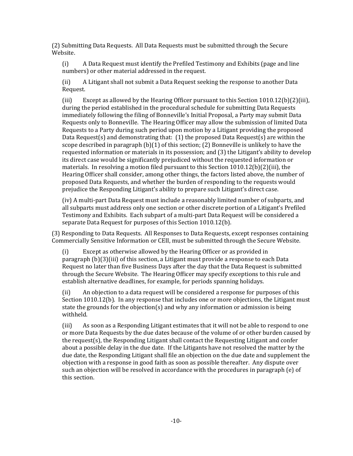(2) Submitting Data Requests. All Data Requests must be submitted through the Secure Website.

(i) A Data Request must identify the Prefiled Testimony and Exhibits (page and line numbers) or other material addressed in the request.

(ii) A Litigant shall not submit a Data Request seeking the response to another Data Request.

(iii) Except as allowed by the Hearing Officer pursuant to this Section  $1010.12(b)(2)(iii)$ , during the period established in the procedural schedule for submitting Data Requests immediately following the filing of Bonneville's Initial Proposal, a Party may submit Data Requests only to Bonneville. The Hearing Officer may allow the submission of limited Data Requests to a Party during such period upon motion by a Litigant providing the proposed Data Request(s) and demonstrating that: (1) the proposed Data Request(s) are within the scope described in paragraph  $(b)(1)$  of this section; (2) Bonneville is unlikely to have the requested information or materials in its possession; and (3) the Litigant's ability to develop its direct case would be significantly prejudiced without the requested information or materials. In resolving a motion filed pursuant to this Section  $1010.12(b)(2)(iii)$ , the Hearing Officer shall consider, among other things, the factors listed above, the number of proposed Data Requests, and whether the burden of responding to the requests would prejudice the Responding Litigant's ability to prepare such Litigant's direct case.

(iv) A multi-part Data Request must include a reasonably limited number of subparts, and all subparts must address only one section or other discrete portion of a Litigant's Prefiled Testimony and Exhibits. Each subpart of a multi-part Data Request will be considered a separate Data Request for purposes of this Section 1010.12(b).

(3) Responding to Data Requests. All Responses to Data Requests, except responses containing Commercially Sensitive Information or CEII, must be submitted through the Secure Website.

(i) Except as otherwise allowed by the Hearing Officer or as provided in paragraph (b)(3)(iii) of this section, a Litigant must provide a response to each Data Request no later than five Business Days after the day that the Data Request is submitted through the Secure Website. The Hearing Officer may specify exceptions to this rule and establish alternative deadlines, for example, for periods spanning holidays.

(ii) An objection to a data request will be considered a response for purposes of this Section 1010.12(b). In any response that includes one or more objections, the Litigant must state the grounds for the objection(s) and why any information or admission is being withheld.

(iii) As soon as a Responding Litigant estimates that it will not be able to respond to one or more Data Requests by the due dates because of the volume of or other burden caused by the request(s), the Responding Litigant shall contact the Requesting Litigant and confer about a possible delay in the due date. If the Litigants have not resolved the matter by the due date, the Responding Litigant shall file an objection on the due date and supplement the objection with a response in good faith as soon as possible thereafter. Any dispute over such an objection will be resolved in accordance with the procedures in paragraph (e) of this section.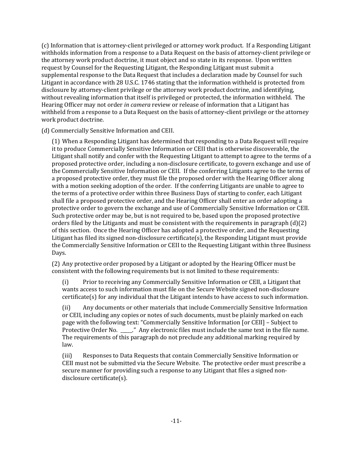(c) Information that is attorney-client privileged or attorney work product. If a Responding Litigant withholds information from a response to a Data Request on the basis of attorney-client privilege or the attorney work product doctrine, it must object and so state in its response. Upon written request by Counsel for the Requesting Litigant, the Responding Litigant must submit a supplemental response to the Data Request that includes a declaration made by Counsel for such Litigant in accordance with 28 U.S.C. 1746 stating that the information withheld is protected from disclosure by attorney-client privilege or the attorney work product doctrine, and identifying, without revealing information that itself is privileged or protected, the information withheld. The Hearing Officer may not order *in camera* review or release of information that a Litigant has withheld from a response to a Data Request on the basis of attorney-client privilege or the attorney work product doctrine.

(d) Commercially Sensitive Information and CEII.

(1) When a Responding Litigant has determined that responding to a Data Request will require it to produce Commercially Sensitive Information or CEII that is otherwise discoverable, the Litigant shall notify and confer with the Requesting Litigant to attempt to agree to the terms of a proposed protective order, including a non-disclosure certificate, to govern exchange and use of the Commercially Sensitive Information or CEII. If the conferring Litigants agree to the terms of a proposed protective order, they must file the proposed order with the Hearing Officer along with a motion seeking adoption of the order. If the conferring Litigants are unable to agree to the terms of a protective order within three Business Days of starting to confer, each Litigant shall file a proposed protective order, and the Hearing Officer shall enter an order adopting a protective order to govern the exchange and use of Commercially Sensitive Information or CEII. Such protective order may be, but is not required to be, based upon the proposed protective orders filed by the Litigants and must be consistent with the requirements in paragraph (d)(2) of this section. Once the Hearing Officer has adopted a protective order, and the Requesting Litigant has filed its signed non-disclosure certificate(s), the Responding Litigant must provide the Commercially Sensitive Information or CEII to the Requesting Litigant within three Business Days.

(2) Any protective order proposed by a Litigant or adopted by the Hearing Officer must be consistent with the following requirements but is not limited to these requirements:

(i) Prior to receiving any Commercially Sensitive Information or CEII, a Litigant that wants access to such information must file on the Secure Website signed non-disclosure certificate(s) for any individual that the Litigant intends to have access to such information.

(ii) Any documents or other materials that include Commercially Sensitive Information or CEII, including any copies or notes of such documents, must be plainly marked on each page with the following text: "Commercially Sensitive Information [or CEII] – Subject to Protective Order No. \_\_\_\_." Any electronic files must include the same text in the file name. The requirements of this paragraph do not preclude any additional marking required by law.

(iii) Responses to Data Requests that contain Commercially Sensitive Information or CEII must not be submitted via the Secure Website. The protective order must prescribe a secure manner for providing such a response to any Litigant that files a signed nondisclosure certificate(s).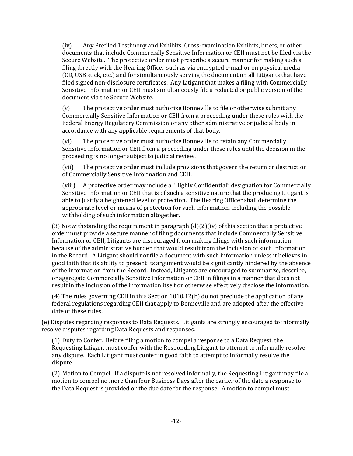(iv) Any Prefiled Testimony and Exhibits, Cross-examination Exhibits, briefs, or other documents that include Commercially Sensitive Information or CEII must not be filed via the Secure Website. The protective order must prescribe a secure manner for making such a filing directly with the Hearing Officer such as via encrypted e-mail or on physical media (CD, USB stick, etc.) and for simultaneously serving the document on all Litigants that have filed signed non-disclosure certificates. Any Litigant that makes a filing with Commercially Sensitive Information or CEII must simultaneously file a redacted or public version of the document via the Secure Website.

(v) The protective order must authorize Bonneville to file or otherwise submit any Commercially Sensitive Information or CEII from a proceeding under these rules with the Federal Energy Regulatory Commission or any other administrative or judicial body in accordance with any applicable requirements of that body.

(vi) The protective order must authorize Bonneville to retain any Commercially Sensitive Information or CEII from a proceeding under these rules until the decision in the proceeding is no longer subject to judicial review.

(vii) The protective order must include provisions that govern the return or destruction of Commercially Sensitive Information and CEII.

(viii) A protective order may include a "Highly Confidential" designation for Commercially Sensitive Information or CEII that is of such a sensitive nature that the producing Litigant is able to justify a heightened level of protection. The Hearing Officer shall determine the appropriate level or means of protection for such information, including the possible withholding of such information altogether.

(3) Notwithstanding the requirement in paragraph  $(d)(2)(iv)$  of this section that a protective order must provide a secure manner of filing documents that include Commercially Sensitive Information or CEII, Litigants are discouraged from making filings with such information because of the administrative burden that would result from the inclusion of such information in the Record. A Litigant should not file a document with such information unless it believes in good faith that its ability to present its argument would be significantly hindered by the absence of the information from the Record. Instead, Litigants are encouraged to summarize, describe, or aggregate Commercially Sensitive Information or CEII in filings in a manner that does not result in the inclusion of the information itself or otherwise effectively disclose the information.

(4) The rules governing CEII in this Section 1010.12(b) do not preclude the application of any federal regulations regarding CEII that apply to Bonneville and are adopted after the effective date of these rules.

(e) Disputes regarding responses to Data Requests. Litigants are strongly encouraged to informally resolve disputes regarding Data Requests and responses.

(1) Duty to Confer. Before filing a motion to compel a response to a Data Request, the Requesting Litigant must confer with the Responding Litigant to attempt to informally resolve any dispute. Each Litigant must confer in good faith to attempt to informally resolve the dispute.

(2) Motion to Compel. If a dispute is not resolved informally, the Requesting Litigant may file a motion to compel no more than four Business Days after the earlier of the date a response to the Data Request is provided or the due date for the response. A motion to compel must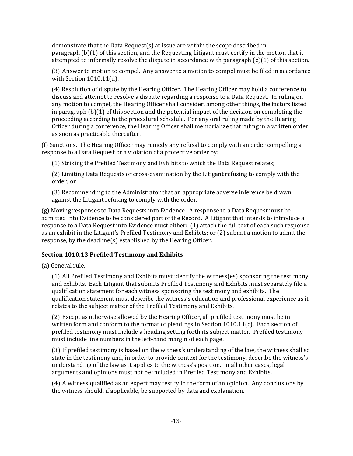demonstrate that the Data Request(s) at issue are within the scope described in paragraph (b)(1) of this section, and the Requesting Litigant must certify in the motion that it attempted to informally resolve the dispute in accordance with paragraph (e)(1) of this section.

(3) Answer to motion to compel. Any answer to a motion to compel must be filed in accordance with Section 1010.11(d).

(4) Resolution of dispute by the Hearing Officer. The Hearing Officer may hold a conference to discuss and attempt to resolve a dispute regarding a response to a Data Request. In ruling on any motion to compel, the Hearing Officer shall consider, among other things, the factors listed in paragraph (b)(1) of this section and the potential impact of the decision on completing the proceeding according to the procedural schedule. For any oral ruling made by the Hearing Officer during a conference, the Hearing Officer shall memorialize that ruling in a written order as soon as practicable thereafter.

(f) Sanctions. The Hearing Officer may remedy any refusal to comply with an order compelling a response to a Data Request or a violation of a protective order by:

(1) Striking the Prefiled Testimony and Exhibits to which the Data Request relates;

(2) Limiting Data Requests or cross-examination by the Litigant refusing to comply with the order; or

(3) Recommending to the Administrator that an appropriate adverse inference be drawn against the Litigant refusing to comply with the order.

(g) Moving responses to Data Requests into Evidence. A response to a Data Request must be admitted into Evidence to be considered part of the Record. A Litigant that intends to introduce a response to a Data Request into Evidence must either: (1) attach the full text of each such response as an exhibit in the Litigant's Prefiled Testimony and Exhibits; or (2) submit a motion to admit the response, by the deadline(s) established by the Hearing Officer.

# **Section 1010.13 Prefiled Testimony and Exhibits**

(a) General rule.

(1) All Prefiled Testimony and Exhibits must identify the witness(es) sponsoring the testimony and exhibits. Each Litigant that submits Prefiled Testimony and Exhibits must separately file a qualification statement for each witness sponsoring the testimony and exhibits. The qualification statement must describe the witness's education and professional experience as it relates to the subject matter of the Prefiled Testimony and Exhibits.

(2) Except as otherwise allowed by the Hearing Officer, all prefiled testimony must be in written form and conform to the format of pleadings in Section  $1010.11(c)$ . Each section of prefiled testimony must include a heading setting forth its subject matter. Prefiled testimony must include line numbers in the left-hand margin of each page.

(3) If prefiled testimony is based on the witness's understanding of the law, the witness shall so state in the testimony and, in order to provide context for the testimony, describe the witness's understanding of the law as it applies to the witness's position. In all other cases, legal arguments and opinions must not be included in Prefiled Testimony and Exhibits.

(4) A witness qualified as an expert may testify in the form of an opinion. Any conclusions by the witness should, if applicable, be supported by data and explanation.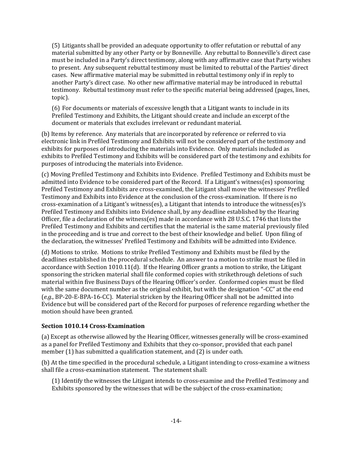(5) Litigants shall be provided an adequate opportunity to offer refutation or rebuttal of any material submitted by any other Party or by Bonneville. Any rebuttal to Bonneville's direct case must be included in a Party's direct testimony, along with any affirmative case that Party wishes to present. Any subsequent rebuttal testimony must be limited to rebuttal of the Parties' direct cases. New affirmative material may be submitted in rebuttal testimony only if in reply to another Party's direct case. No other new affirmative material may be introduced in rebuttal testimony. Rebuttal testimony must refer to the specific material being addressed (pages, lines, topic).

(6) For documents or materials of excessive length that a Litigant wants to include in its Prefiled Testimony and Exhibits, the Litigant should create and include an excerpt of the document or materials that excludes irrelevant or redundant material.

(b) Items by reference. Any materials that are incorporated by reference or referred to via electronic link in Prefiled Testimony and Exhibits will not be considered part of the testimony and exhibits for purposes of introducing the materials into Evidence. Only materials included as exhibits to Prefiled Testimony and Exhibits will be considered part of the testimony and exhibits for purposes of introducing the materials into Evidence.

(c) Moving Prefiled Testimony and Exhibits into Evidence. Prefiled Testimony and Exhibits must be admitted into Evidence to be considered part of the Record. If a Litigant's witness(es) sponsoring Prefiled Testimony and Exhibits are cross-examined, the Litigant shall move the witnesses' Prefiled Testimony and Exhibits into Evidence at the conclusion of the cross-examination. If there is no cross-examination of a Litigant's witness(es), a Litigant that intends to introduce the witness(es)'s Prefiled Testimony and Exhibits into Evidence shall, by any deadline established by the Hearing Officer, file a declaration of the witness(es) made in accordance with 28 U.S.C. 1746 that lists the Prefiled Testimony and Exhibits and certifies that the material is the same material previously filed in the proceeding and is true and correct to the best of their knowledge and belief. Upon filing of the declaration, the witnesses' Prefiled Testimony and Exhibits will be admitted into Evidence.

(d) Motions to strike. Motions to strike Prefiled Testimony and Exhibits must be filed by the deadlines established in the procedural schedule. An answer to a motion to strike must be filed in accordance with Section 1010.11(d). If the Hearing Officer grants a motion to strike, the Litigant sponsoring the stricken material shall file conformed copies with strikethrough deletions of such material within five Business Days of the Hearing Officer's order. Conformed copies must be filed with the same document number as the original exhibit, but with the designation "-CC" at the end (*e.g.*, BP-20-E-BPA-16-CC). Material stricken by the Hearing Officer shall not be admitted into Evidence but will be considered part of the Record for purposes of reference regarding whether the motion should have been granted.

## **Section 1010.14 Cross-Examination**

(a) Except as otherwise allowed by the Hearing Officer, witnesses generally will be cross-examined as a panel for Prefiled Testimony and Exhibits that they co-sponsor, provided that each panel member (1) has submitted a qualification statement, and (2) is under oath.

(b) At the time specified in the procedural schedule, a Litigant intending to cross-examine a witness shall file a cross-examination statement. The statement shall:

(1) Identify the witnesses the Litigant intends to cross-examine and the Prefiled Testimony and Exhibits sponsored by the witnesses that will be the subject of the cross-examination;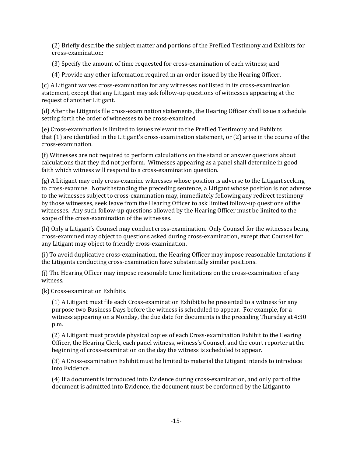(2) Briefly describe the subject matter and portions of the Prefiled Testimony and Exhibits for cross-examination;

(3) Specify the amount of time requested for cross-examination of each witness; and

(4) Provide any other information required in an order issued by the Hearing Officer.

(c) A Litigant waives cross-examination for any witnesses not listed in its cross-examination statement, except that any Litigant may ask follow-up questions of witnesses appearing at the request of another Litigant.

(d) After the Litigants file cross-examination statements, the Hearing Officer shall issue a schedule setting forth the order of witnesses to be cross-examined.

(e) Cross-examination is limited to issues relevant to the Prefiled Testimony and Exhibits that (1) are identified in the Litigant's cross-examination statement, or (2) arise in the course of the cross-examination.

(f) Witnesses are not required to perform calculations on the stand or answer questions about calculations that they did not perform. Witnesses appearing as a panel shall determine in good faith which witness will respond to a cross-examination question.

(g) A Litigant may only cross-examine witnesses whose position is adverse to the Litigant seeking to cross-examine. Notwithstanding the preceding sentence, a Litigant whose position is not adverse to the witnesses subject to cross-examination may, immediately following any redirect testimony by those witnesses, seek leave from the Hearing Officer to ask limited follow-up questions of the witnesses. Any such follow-up questions allowed by the Hearing Officer must be limited to the scope of the cross-examination of the witnesses.

(h) Only a Litigant's Counsel may conduct cross-examination. Only Counsel for the witnesses being cross-examined may object to questions asked during cross-examination, except that Counsel for any Litigant may object to friendly cross-examination.

(i) To avoid duplicative cross-examination, the Hearing Officer may impose reasonable limitations if the Litigants conducting cross-examination have substantially similar positions.

(j) The Hearing Officer may impose reasonable time limitations on the cross-examination of any witness.

(k) Cross-examination Exhibits.

(1) A Litigant must file each Cross-examination Exhibit to be presented to a witness for any purpose two Business Days before the witness is scheduled to appear. For example, for a witness appearing on a Monday, the due date for documents is the preceding Thursday at 4:30 p.m.

(2) A Litigant must provide physical copies of each Cross-examination Exhibit to the Hearing Officer, the Hearing Clerk, each panel witness, witness's Counsel, and the court reporter at the beginning of cross-examination on the day the witness is scheduled to appear.

(3) A Cross-examination Exhibit must be limited to material the Litigant intends to introduce into Evidence.

(4) If a document is introduced into Evidence during cross-examination, and only part of the document is admitted into Evidence, the document must be conformed by the Litigant to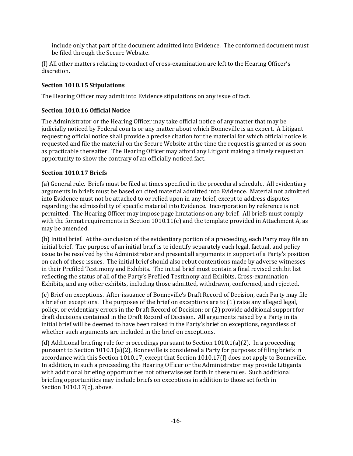include only that part of the document admitted into Evidence. The conformed document must be filed through the Secure Website.

(l) All other matters relating to conduct of cross-examination are left to the Hearing Officer's discretion.

## **Section 1010.15 Stipulations**

The Hearing Officer may admit into Evidence stipulations on any issue of fact.

# **Section 1010.16 Official Notice**

The Administrator or the Hearing Officer may take official notice of any matter that may be judicially noticed by Federal courts or any matter about which Bonneville is an expert. A Litigant requesting official notice shall provide a precise citation for the material for which official notice is requested and file the material on the Secure Website at the time the request is granted or as soon as practicable thereafter. The Hearing Officer may afford any Litigant making a timely request an opportunity to show the contrary of an officially noticed fact.

# **Section 1010.17 Briefs**

(a) General rule. Briefs must be filed at times specified in the procedural schedule. All evidentiary arguments in briefs must be based on cited material admitted into Evidence. Material not admitted into Evidence must not be attached to or relied upon in any brief, except to address disputes regarding the admissibility of specific material into Evidence. Incorporation by reference is not permitted. The Hearing Officer may impose page limitations on any brief. All briefs must comply with the format requirements in Section  $1010.11(c)$  and the template provided in Attachment A, as may be amended.

(b) Initial brief. At the conclusion of the evidentiary portion of a proceeding, each Party may file an initial brief. The purpose of an initial brief is to identify separately each legal, factual, and policy issue to be resolved by the Administrator and present all arguments in support of a Party's position on each of these issues. The initial brief should also rebut contentions made by adverse witnesses in their Prefiled Testimony and Exhibits. The initial brief must contain a final revised exhibit list reflecting the status of all of the Party's Prefiled Testimony and Exhibits, Cross-examination Exhibits, and any other exhibits, including those admitted, withdrawn, conformed, and rejected.

(c) Brief on exceptions. After issuance of Bonneville's Draft Record of Decision, each Party may file a brief on exceptions. The purposes of the brief on exceptions are to (1) raise any alleged legal, policy, or evidentiary errors in the Draft Record of Decision; or (2) provide additional support for draft decisions contained in the Draft Record of Decision. All arguments raised by a Party in its initial brief will be deemed to have been raised in the Party's brief on exceptions, regardless of whether such arguments are included in the brief on exceptions.

(d) Additional briefing rule for proceedings pursuant to Section 1010.1(a)(2). In a proceeding pursuant to Section 1010.1(a)(2), Bonneville is considered a Party for purposes of filing briefs in accordance with this Section 1010.17, except that Section 1010.17(f) does not apply to Bonneville. In addition, in such a proceeding, the Hearing Officer or the Administrator may provide Litigants with additional briefing opportunities not otherwise set forth in these rules. Such additional briefing opportunities may include briefs on exceptions in addition to those set forth in Section 1010.17(c), above.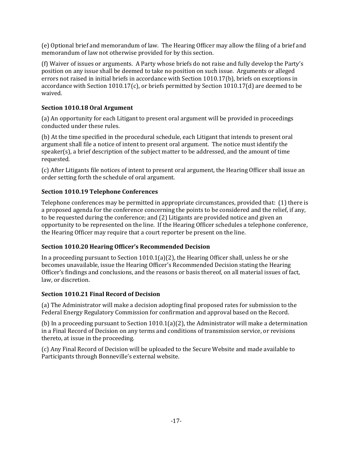(e) Optional brief and memorandum of law. The Hearing Officer may allow the filing of a brief and memorandum of law not otherwise provided for by this section.

(f) Waiver of issues or arguments. A Party whose briefs do not raise and fully develop the Party's position on any issue shall be deemed to take no position on such issue. Arguments or alleged errors not raised in initial briefs in accordance with Section 1010.17(b), briefs on exceptions in accordance with Section 1010.17(c), or briefs permitted by Section 1010.17(d) are deemed to be waived.

# **Section 1010.18 Oral Argument**

(a) An opportunity for each Litigant to present oral argument will be provided in proceedings conducted under these rules.

(b) At the time specified in the procedural schedule, each Litigant that intends to present oral argument shall file a notice of intent to present oral argument. The notice must identify the speaker(s), a brief description of the subject matter to be addressed, and the amount of time requested.

(c) After Litigants file notices of intent to present oral argument, the Hearing Officer shall issue an order setting forth the schedule of oral argument.

# **Section 1010.19 Telephone Conferences**

Telephone conferences may be permitted in appropriate circumstances, provided that: (1) there is a proposed agenda for the conference concerning the points to be considered and the relief, if any, to be requested during the conference; and (2) Litigants are provided notice and given an opportunity to be represented on the line. If the Hearing Officer schedules a telephone conference, the Hearing Officer may require that a court reporter be present on the line.

# **Section 1010.20 Hearing Officer's Recommended Decision**

In a proceeding pursuant to Section  $1010.1(a)(2)$ , the Hearing Officer shall, unless he or she becomes unavailable, issue the Hearing Officer's Recommended Decision stating the Hearing Officer's findings and conclusions, and the reasons or basis thereof, on all material issues of fact, law, or discretion.

# **Section 1010.21 Final Record of Decision**

(a) The Administrator will make a decision adopting final proposed rates for submission to the Federal Energy Regulatory Commission for confirmation and approval based on the Record.

(b) In a proceeding pursuant to Section 1010.1(a)(2), the Administrator will make a determination in a Final Record of Decision on any terms and conditions of transmission service, or revisions thereto, at issue in the proceeding.

(c) Any Final Record of Decision will be uploaded to the Secure Website and made available to Participants through Bonneville's external website.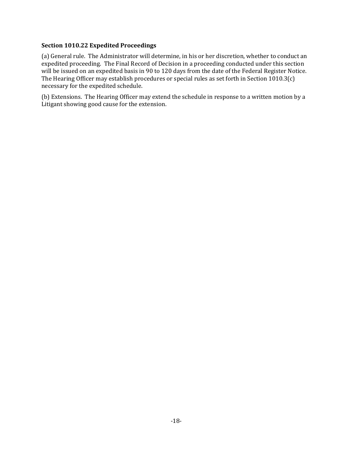#### **Section 1010.22 Expedited Proceedings**

(a) General rule. The Administrator will determine, in his or her discretion, whether to conduct an expedited proceeding. The Final Record of Decision in a proceeding conducted under this section will be issued on an expedited basis in 90 to 120 days from the date of the Federal Register Notice. The Hearing Officer may establish procedures or special rules as set forth in Section 1010.3(c) necessary for the expedited schedule.

(b) Extensions. The Hearing Officer may extend the schedule in response to a written motion by a Litigant showing good cause for the extension.